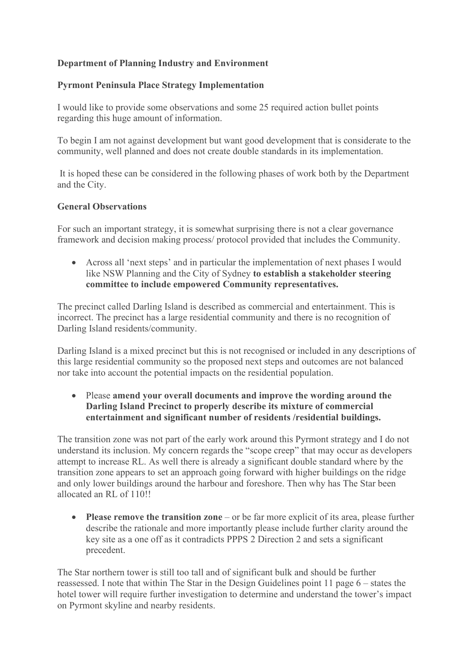## **Department of Planning Industry and Environment**

## **Pyrmont Peninsula Place Strategy Implementation**

I would like to provide some observations and some 25 required action bullet points regarding this huge amount of information.

To begin I am not against development but want good development that is considerate to the community, well planned and does not create double standards in its implementation.

 It is hoped these can be considered in the following phases of work both by the Department and the City.

## **General Observations**

For such an important strategy, it is somewhat surprising there is not a clear governance framework and decision making process/ protocol provided that includes the Community.

• Across all 'next steps' and in particular the implementation of next phases I would like NSW Planning and the City of Sydney **to establish a stakeholder steering committee to include empowered Community representatives.**

The precinct called Darling Island is described as commercial and entertainment. This is incorrect. The precinct has a large residential community and there is no recognition of Darling Island residents/community.

Darling Island is a mixed precinct but this is not recognised or included in any descriptions of this large residential community so the proposed next steps and outcomes are not balanced nor take into account the potential impacts on the residential population.

• Please **amend your overall documents and improve the wording around the Darling Island Precinct to properly describe its mixture of commercial entertainment and significant number of residents /residential buildings.**

The transition zone was not part of the early work around this Pyrmont strategy and I do not understand its inclusion. My concern regards the "scope creep" that may occur as developers attempt to increase RL. As well there is already a significant double standard where by the transition zone appears to set an approach going forward with higher buildings on the ridge and only lower buildings around the harbour and foreshore. Then why has The Star been allocated an RL of 110!!

• **Please remove the transition zone** – or be far more explicit of its area, please further describe the rationale and more importantly please include further clarity around the key site as a one off as it contradicts PPPS 2 Direction 2 and sets a significant precedent.

The Star northern tower is still too tall and of significant bulk and should be further reassessed. I note that within The Star in the Design Guidelines point 11 page 6 – states the hotel tower will require further investigation to determine and understand the tower's impact on Pyrmont skyline and nearby residents.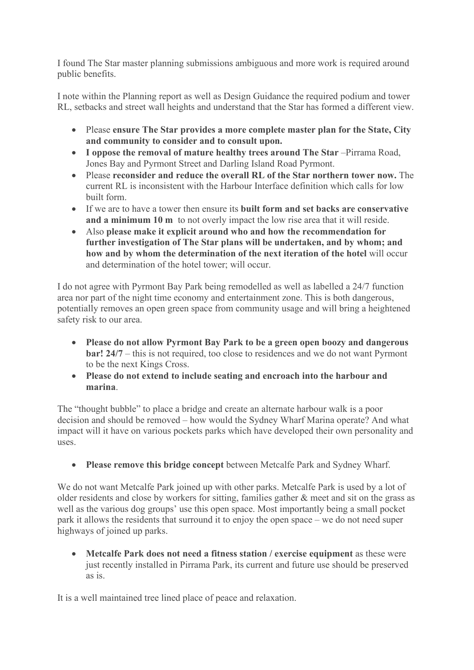I found The Star master planning submissions ambiguous and more work is required around public benefits.

I note within the Planning report as well as Design Guidance the required podium and tower RL, setbacks and street wall heights and understand that the Star has formed a different view.

- Please **ensure The Star provides a more complete master plan for the State, City and community to consider and to consult upon.**
- **I oppose the removal of mature healthy trees around The Star** –Pirrama Road, Jones Bay and Pyrmont Street and Darling Island Road Pyrmont.
- Please **reconsider and reduce the overall RL of the Star northern tower now.** The current RL is inconsistent with the Harbour Interface definition which calls for low built form.
- If we are to have a tower then ensure its **built form and set backs are conservative and a minimum 10 m** to not overly impact the low rise area that it will reside.
- Also **please make it explicit around who and how the recommendation for further investigation of The Star plans will be undertaken, and by whom; and how and by whom the determination of the next iteration of the hotel** will occur and determination of the hotel tower; will occur.

I do not agree with Pyrmont Bay Park being remodelled as well as labelled a 24/7 function area nor part of the night time economy and entertainment zone. This is both dangerous, potentially removes an open green space from community usage and will bring a heightened safety risk to our area.

- **Please do not allow Pyrmont Bay Park to be a green open boozy and dangerous bar! 24/7** – this is not required, too close to residences and we do not want Pyrmont to be the next Kings Cross.
- **Please do not extend to include seating and encroach into the harbour and marina**.

The "thought bubble" to place a bridge and create an alternate harbour walk is a poor decision and should be removed – how would the Sydney Wharf Marina operate? And what impact will it have on various pockets parks which have developed their own personality and uses.

• **Please remove this bridge concept** between Metcalfe Park and Sydney Wharf.

We do not want Metcalfe Park joined up with other parks. Metcalfe Park is used by a lot of older residents and close by workers for sitting, families gather & meet and sit on the grass as well as the various dog groups' use this open space. Most importantly being a small pocket park it allows the residents that surround it to enjoy the open space – we do not need super highways of joined up parks.

• **Metcalfe Park does not need a fitness station / exercise equipment** as these were just recently installed in Pirrama Park, its current and future use should be preserved as is.

It is a well maintained tree lined place of peace and relaxation.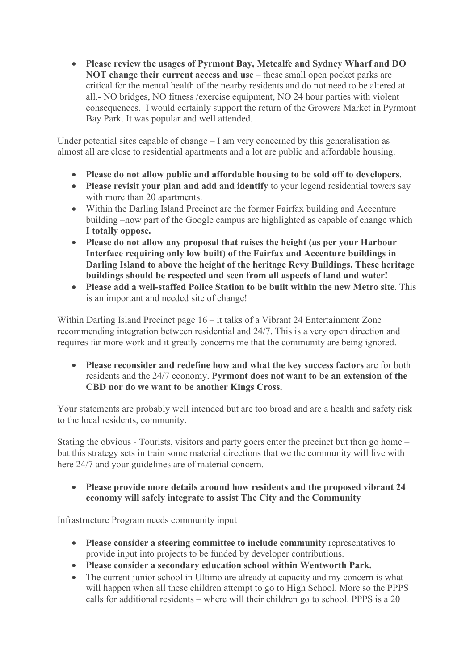• **Please review the usages of Pyrmont Bay, Metcalfe and Sydney Wharf and DO NOT change their current access and use** – these small open pocket parks are critical for the mental health of the nearby residents and do not need to be altered at all.- NO bridges, NO fitness /exercise equipment, NO 24 hour parties with violent consequences. I would certainly support the return of the Growers Market in Pyrmont Bay Park. It was popular and well attended.

Under potential sites capable of change – I am very concerned by this generalisation as almost all are close to residential apartments and a lot are public and affordable housing.

- **Please do not allow public and affordable housing to be sold off to developers**.
- **Please revisit your plan and add and identify** to your legend residential towers say with more than 20 apartments.
- Within the Darling Island Precinct are the former Fairfax building and Accenture building –now part of the Google campus are highlighted as capable of change which **I totally oppose.**
- **Please do not allow any proposal that raises the height (as per your Harbour Interface requiring only low built) of the Fairfax and Accenture buildings in Darling Island to above the height of the heritage Revy Buildings. These heritage buildings should be respected and seen from all aspects of land and water!**
- **Please add a well-staffed Police Station to be built within the new Metro site**. This is an important and needed site of change!

Within Darling Island Precinct page 16 – it talks of a Vibrant 24 Entertainment Zone recommending integration between residential and 24/7. This is a very open direction and requires far more work and it greatly concerns me that the community are being ignored.

• **Please reconsider and redefine how and what the key success factors** are for both residents and the 24/7 economy. **Pyrmont does not want to be an extension of the CBD nor do we want to be another Kings Cross.** 

Your statements are probably well intended but are too broad and are a health and safety risk to the local residents, community.

Stating the obvious - Tourists, visitors and party goers enter the precinct but then go home – but this strategy sets in train some material directions that we the community will live with here 24/7 and your guidelines are of material concern.

• **Please provide more details around how residents and the proposed vibrant 24 economy will safely integrate to assist The City and the Community** 

Infrastructure Program needs community input

- **Please consider a steering committee to include community** representatives to provide input into projects to be funded by developer contributions.
- **Please consider a secondary education school within Wentworth Park.**
- The current junior school in Ultimo are already at capacity and my concern is what will happen when all these children attempt to go to High School. More so the PPPS calls for additional residents – where will their children go to school. PPPS is a 20